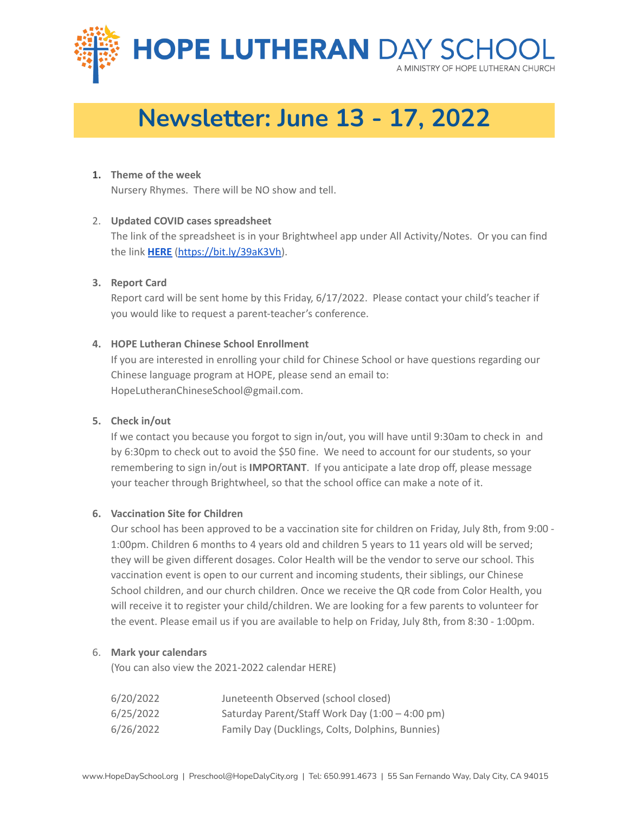

# **Newsletter: June 13 - 17, 2022**

### **1. Theme of the week**

Nursery Rhymes. There will be NO show and tell.

### 2. **Updated COVID cases spreadsheet**

The link of the spreadsheet is in your Brightwheel app under All Activity/Notes. Or you can find the link **[HERE](https://docs.google.com/spreadsheets/u/0/d/1JURnzZWH-CRXSSstfGgEan9GJ7tn5zYRNP3CHbwLGug/edit)** [\(https://bit.ly/39aK3Vh\)](https://bit.ly/39aK3Vh).

### **3. Report Card**

Report card will be sent home by this Friday, 6/17/2022. Please contact your child's teacher if you would like to request a parent-teacher's conference.

### **4. HOPE Lutheran Chinese School Enrollment**

If you are interested in enrolling your child for Chinese School or have questions regarding our Chinese language program at HOPE, please send an email to: HopeLutheranChineseSchool@gmail.com.

## **5. Check in/out**

If we contact you because you forgot to sign in/out, you will have until 9:30am to check in and by 6:30pm to check out to avoid the \$50 fine. We need to account for our students, so your remembering to sign in/out is **IMPORTANT**. If you anticipate a late drop off, please message your teacher through Brightwheel, so that the school office can make a note of it.

## **6. Vaccination Site for Children**

Our school has been approved to be a vaccination site for children on Friday, July 8th, from 9:00 - 1:00pm. Children 6 months to 4 years old and children 5 years to 11 years old will be served; they will be given different dosages. Color Health will be the vendor to serve our school. This vaccination event is open to our current and incoming students, their siblings, our Chinese School children, and our church children. Once we receive the QR code from Color Health, you will receive it to register your child/children. We are looking for a few parents to volunteer for the event. Please email us if you are available to help on Friday, July 8th, from 8:30 - 1:00pm.

#### 6. **Mark your calendars**

(You can also view the 2021-2022 calendar [HERE\)](https://be811700-8780-4d30-952f-19650788f528.filesusr.com/ugd/bb2f1b_76989b072b6f457e8466766b8b98c652.pdf)

| 6/20/2022 | Juneteenth Observed (school closed)              |
|-----------|--------------------------------------------------|
| 6/25/2022 | Saturday Parent/Staff Work Day (1:00 - 4:00 pm)  |
| 6/26/2022 | Family Day (Ducklings, Colts, Dolphins, Bunnies) |